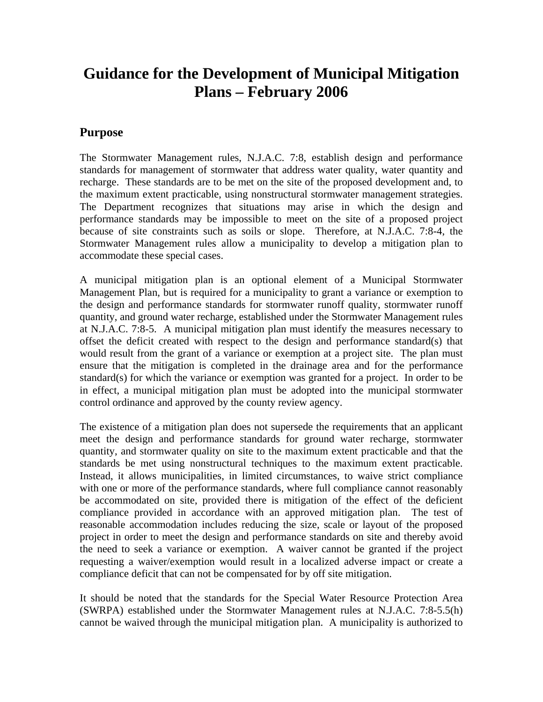# **Guidance for the Development of Municipal Mitigation Plans – February 2006**

## **Purpose**

The Stormwater Management rules, N.J.A.C. 7:8, establish design and performance standards for management of stormwater that address water quality, water quantity and recharge. These standards are to be met on the site of the proposed development and, to the maximum extent practicable, using nonstructural stormwater management strategies. The Department recognizes that situations may arise in which the design and performance standards may be impossible to meet on the site of a proposed project because of site constraints such as soils or slope. Therefore, at N.J.A.C. 7:8-4, the Stormwater Management rules allow a municipality to develop a mitigation plan to accommodate these special cases.

A municipal mitigation plan is an optional element of a Municipal Stormwater Management Plan, but is required for a municipality to grant a variance or exemption to the design and performance standards for stormwater runoff quality, stormwater runoff quantity, and ground water recharge, established under the Stormwater Management rules at N.J.A.C. 7:8-5. A municipal mitigation plan must identify the measures necessary to offset the deficit created with respect to the design and performance standard(s) that would result from the grant of a variance or exemption at a project site. The plan must ensure that the mitigation is completed in the drainage area and for the performance standard(s) for which the variance or exemption was granted for a project. In order to be in effect, a municipal mitigation plan must be adopted into the municipal stormwater control ordinance and approved by the county review agency.

The existence of a mitigation plan does not supersede the requirements that an applicant meet the design and performance standards for ground water recharge, stormwater quantity, and stormwater quality on site to the maximum extent practicable and that the standards be met using nonstructural techniques to the maximum extent practicable. Instead, it allows municipalities, in limited circumstances, to waive strict compliance with one or more of the performance standards, where full compliance cannot reasonably be accommodated on site, provided there is mitigation of the effect of the deficient compliance provided in accordance with an approved mitigation plan. The test of reasonable accommodation includes reducing the size, scale or layout of the proposed project in order to meet the design and performance standards on site and thereby avoid the need to seek a variance or exemption. A waiver cannot be granted if the project requesting a waiver/exemption would result in a localized adverse impact or create a compliance deficit that can not be compensated for by off site mitigation.

It should be noted that the standards for the Special Water Resource Protection Area (SWRPA) established under the Stormwater Management rules at N.J.A.C. 7:8-5.5(h) cannot be waived through the municipal mitigation plan. A municipality is authorized to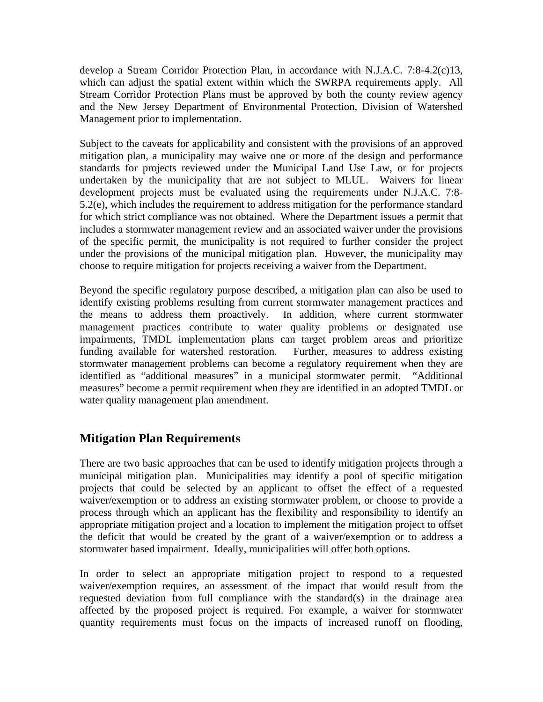develop a Stream Corridor Protection Plan, in accordance with N.J.A.C. 7:8-4.2(c)13, which can adjust the spatial extent within which the SWRPA requirements apply. All Stream Corridor Protection Plans must be approved by both the county review agency and the New Jersey Department of Environmental Protection, Division of Watershed Management prior to implementation.

Subject to the caveats for applicability and consistent with the provisions of an approved mitigation plan, a municipality may waive one or more of the design and performance standards for projects reviewed under the Municipal Land Use Law, or for projects undertaken by the municipality that are not subject to MLUL. Waivers for linear development projects must be evaluated using the requirements under N.J.A.C. 7:8- 5.2(e), which includes the requirement to address mitigation for the performance standard for which strict compliance was not obtained. Where the Department issues a permit that includes a stormwater management review and an associated waiver under the provisions of the specific permit, the municipality is not required to further consider the project under the provisions of the municipal mitigation plan. However, the municipality may choose to require mitigation for projects receiving a waiver from the Department.

Beyond the specific regulatory purpose described, a mitigation plan can also be used to identify existing problems resulting from current stormwater management practices and the means to address them proactively. In addition, where current stormwater management practices contribute to water quality problems or designated use impairments, TMDL implementation plans can target problem areas and prioritize funding available for watershed restoration. Further, measures to address existing stormwater management problems can become a regulatory requirement when they are identified as "additional measures" in a municipal stormwater permit. "Additional measures" become a permit requirement when they are identified in an adopted TMDL or water quality management plan amendment.

## **Mitigation Plan Requirements**

There are two basic approaches that can be used to identify mitigation projects through a municipal mitigation plan. Municipalities may identify a pool of specific mitigation projects that could be selected by an applicant to offset the effect of a requested waiver/exemption or to address an existing stormwater problem, or choose to provide a process through which an applicant has the flexibility and responsibility to identify an appropriate mitigation project and a location to implement the mitigation project to offset the deficit that would be created by the grant of a waiver/exemption or to address a stormwater based impairment. Ideally, municipalities will offer both options.

In order to select an appropriate mitigation project to respond to a requested waiver/exemption requires, an assessment of the impact that would result from the requested deviation from full compliance with the standard(s) in the drainage area affected by the proposed project is required. For example, a waiver for stormwater quantity requirements must focus on the impacts of increased runoff on flooding,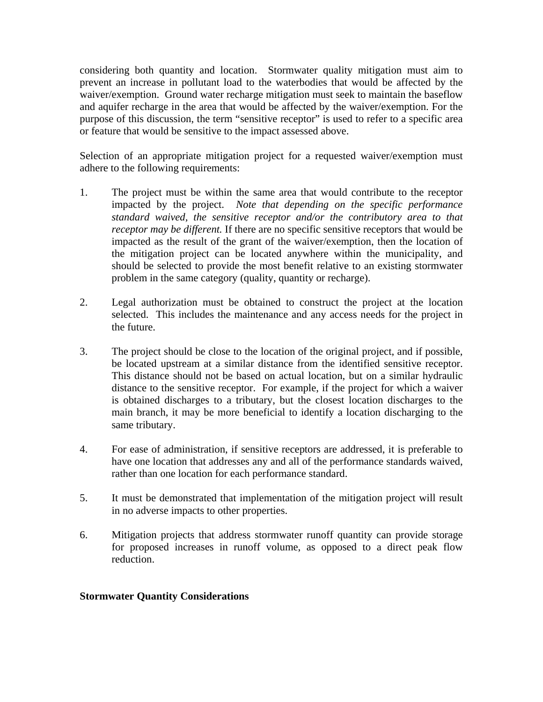considering both quantity and location. Stormwater quality mitigation must aim to prevent an increase in pollutant load to the waterbodies that would be affected by the waiver/exemption. Ground water recharge mitigation must seek to maintain the baseflow and aquifer recharge in the area that would be affected by the waiver/exemption. For the purpose of this discussion, the term "sensitive receptor" is used to refer to a specific area or feature that would be sensitive to the impact assessed above.

Selection of an appropriate mitigation project for a requested waiver/exemption must adhere to the following requirements:

- 1. The project must be within the same area that would contribute to the receptor impacted by the project. *Note that depending on the specific performance standard waived, the sensitive receptor and/or the contributory area to that receptor may be different.* If there are no specific sensitive receptors that would be impacted as the result of the grant of the waiver/exemption, then the location of the mitigation project can be located anywhere within the municipality, and should be selected to provide the most benefit relative to an existing stormwater problem in the same category (quality, quantity or recharge).
- 2. Legal authorization must be obtained to construct the project at the location selected. This includes the maintenance and any access needs for the project in the future.
- 3. The project should be close to the location of the original project, and if possible, be located upstream at a similar distance from the identified sensitive receptor. This distance should not be based on actual location, but on a similar hydraulic distance to the sensitive receptor. For example, if the project for which a waiver is obtained discharges to a tributary, but the closest location discharges to the main branch, it may be more beneficial to identify a location discharging to the same tributary.
- 4. For ease of administration, if sensitive receptors are addressed, it is preferable to have one location that addresses any and all of the performance standards waived, rather than one location for each performance standard.
- 5. It must be demonstrated that implementation of the mitigation project will result in no adverse impacts to other properties.
- 6. Mitigation projects that address stormwater runoff quantity can provide storage for proposed increases in runoff volume, as opposed to a direct peak flow reduction.

#### **Stormwater Quantity Considerations**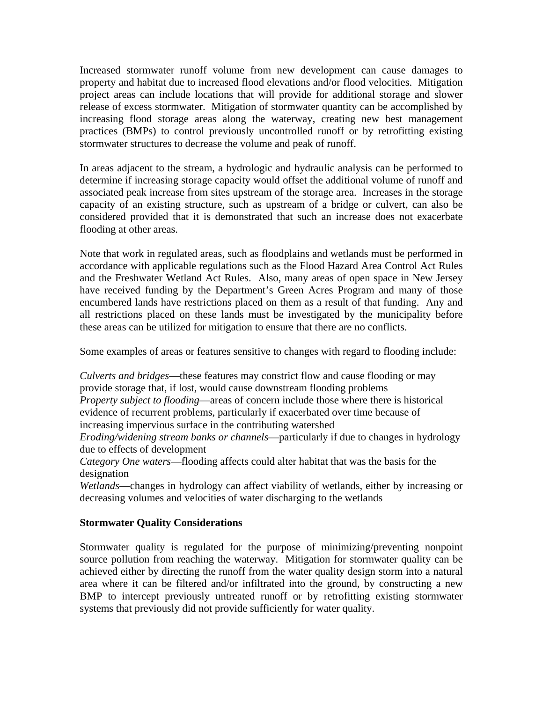Increased stormwater runoff volume from new development can cause damages to property and habitat due to increased flood elevations and/or flood velocities. Mitigation project areas can include locations that will provide for additional storage and slower release of excess stormwater. Mitigation of stormwater quantity can be accomplished by increasing flood storage areas along the waterway, creating new best management practices (BMPs) to control previously uncontrolled runoff or by retrofitting existing stormwater structures to decrease the volume and peak of runoff.

In areas adjacent to the stream, a hydrologic and hydraulic analysis can be performed to determine if increasing storage capacity would offset the additional volume of runoff and associated peak increase from sites upstream of the storage area. Increases in the storage capacity of an existing structure, such as upstream of a bridge or culvert, can also be considered provided that it is demonstrated that such an increase does not exacerbate flooding at other areas.

Note that work in regulated areas, such as floodplains and wetlands must be performed in accordance with applicable regulations such as the Flood Hazard Area Control Act Rules and the Freshwater Wetland Act Rules. Also, many areas of open space in New Jersey have received funding by the Department's Green Acres Program and many of those encumbered lands have restrictions placed on them as a result of that funding. Any and all restrictions placed on these lands must be investigated by the municipality before these areas can be utilized for mitigation to ensure that there are no conflicts.

Some examples of areas or features sensitive to changes with regard to flooding include:

*Culverts and bridges*—these features may constrict flow and cause flooding or may provide storage that, if lost, would cause downstream flooding problems *Property subject to flooding*—areas of concern include those where there is historical evidence of recurrent problems, particularly if exacerbated over time because of increasing impervious surface in the contributing watershed

*Eroding/widening stream banks or channels*—particularly if due to changes in hydrology due to effects of development

*Category One waters*—flooding affects could alter habitat that was the basis for the designation

*Wetlands*—changes in hydrology can affect viability of wetlands, either by increasing or decreasing volumes and velocities of water discharging to the wetlands

#### **Stormwater Quality Considerations**

Stormwater quality is regulated for the purpose of minimizing/preventing nonpoint source pollution from reaching the waterway. Mitigation for stormwater quality can be achieved either by directing the runoff from the water quality design storm into a natural area where it can be filtered and/or infiltrated into the ground, by constructing a new BMP to intercept previously untreated runoff or by retrofitting existing stormwater systems that previously did not provide sufficiently for water quality.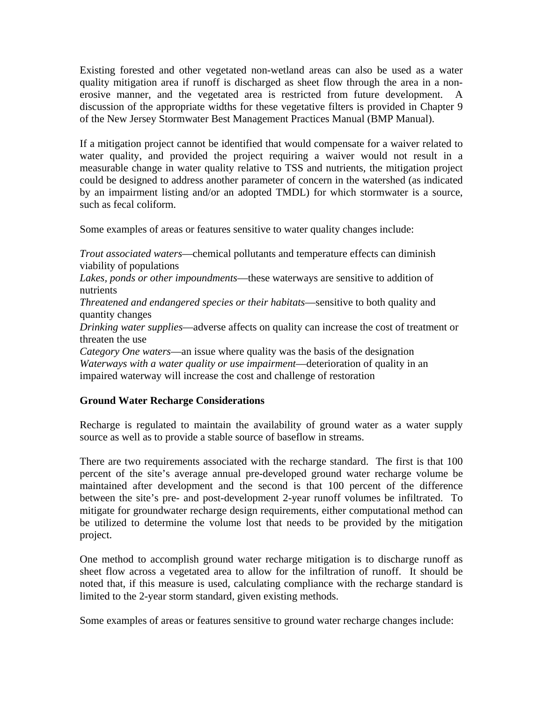Existing forested and other vegetated non-wetland areas can also be used as a water quality mitigation area if runoff is discharged as sheet flow through the area in a nonerosive manner, and the vegetated area is restricted from future development. A discussion of the appropriate widths for these vegetative filters is provided in Chapter 9 of the New Jersey Stormwater Best Management Practices Manual (BMP Manual).

If a mitigation project cannot be identified that would compensate for a waiver related to water quality, and provided the project requiring a waiver would not result in a measurable change in water quality relative to TSS and nutrients, the mitigation project could be designed to address another parameter of concern in the watershed (as indicated by an impairment listing and/or an adopted TMDL) for which stormwater is a source, such as fecal coliform.

Some examples of areas or features sensitive to water quality changes include:

*Trout associated waters*—chemical pollutants and temperature effects can diminish viability of populations

*Lakes, ponds or other impoundments*—these waterways are sensitive to addition of nutrients

*Threatened and endangered species or their habitats*—sensitive to both quality and quantity changes

*Drinking water supplies*—adverse affects on quality can increase the cost of treatment or threaten the use

*Category One waters*—an issue where quality was the basis of the designation *Waterways with a water quality or use impairment*—deterioration of quality in an impaired waterway will increase the cost and challenge of restoration

#### **Ground Water Recharge Considerations**

Recharge is regulated to maintain the availability of ground water as a water supply source as well as to provide a stable source of baseflow in streams.

There are two requirements associated with the recharge standard. The first is that 100 percent of the site's average annual pre-developed ground water recharge volume be maintained after development and the second is that 100 percent of the difference between the site's pre- and post-development 2-year runoff volumes be infiltrated. To mitigate for groundwater recharge design requirements, either computational method can be utilized to determine the volume lost that needs to be provided by the mitigation project.

One method to accomplish ground water recharge mitigation is to discharge runoff as sheet flow across a vegetated area to allow for the infiltration of runoff. It should be noted that, if this measure is used, calculating compliance with the recharge standard is limited to the 2-year storm standard, given existing methods.

Some examples of areas or features sensitive to ground water recharge changes include: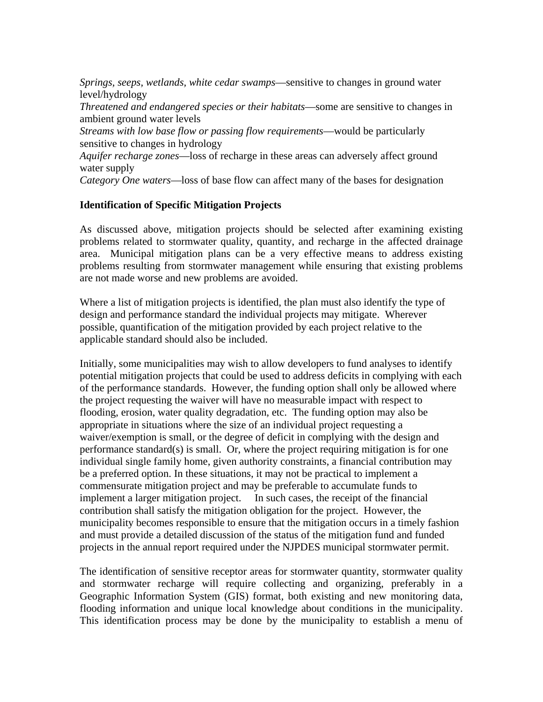*Springs, seeps, wetlands, white cedar swamps*—sensitive to changes in ground water level/hydrology *Threatened and endangered species or their habitats*—some are sensitive to changes in ambient ground water levels *Streams with low base flow or passing flow requirements*—would be particularly sensitive to changes in hydrology *Aquifer recharge zones*—loss of recharge in these areas can adversely affect ground water supply *Category One waters*—loss of base flow can affect many of the bases for designation

### **Identification of Specific Mitigation Projects**

As discussed above, mitigation projects should be selected after examining existing problems related to stormwater quality, quantity, and recharge in the affected drainage area. Municipal mitigation plans can be a very effective means to address existing problems resulting from stormwater management while ensuring that existing problems are not made worse and new problems are avoided.

Where a list of mitigation projects is identified, the plan must also identify the type of design and performance standard the individual projects may mitigate. Wherever possible, quantification of the mitigation provided by each project relative to the applicable standard should also be included.

Initially, some municipalities may wish to allow developers to fund analyses to identify potential mitigation projects that could be used to address deficits in complying with each of the performance standards. However, the funding option shall only be allowed where the project requesting the waiver will have no measurable impact with respect to flooding, erosion, water quality degradation, etc. The funding option may also be appropriate in situations where the size of an individual project requesting a waiver/exemption is small, or the degree of deficit in complying with the design and performance standard(s) is small. Or, where the project requiring mitigation is for one individual single family home, given authority constraints, a financial contribution may be a preferred option. In these situations, it may not be practical to implement a commensurate mitigation project and may be preferable to accumulate funds to implement a larger mitigation project. In such cases, the receipt of the financial contribution shall satisfy the mitigation obligation for the project. However, the municipality becomes responsible to ensure that the mitigation occurs in a timely fashion and must provide a detailed discussion of the status of the mitigation fund and funded projects in the annual report required under the NJPDES municipal stormwater permit.

The identification of sensitive receptor areas for stormwater quantity, stormwater quality and stormwater recharge will require collecting and organizing, preferably in a Geographic Information System (GIS) format, both existing and new monitoring data, flooding information and unique local knowledge about conditions in the municipality. This identification process may be done by the municipality to establish a menu of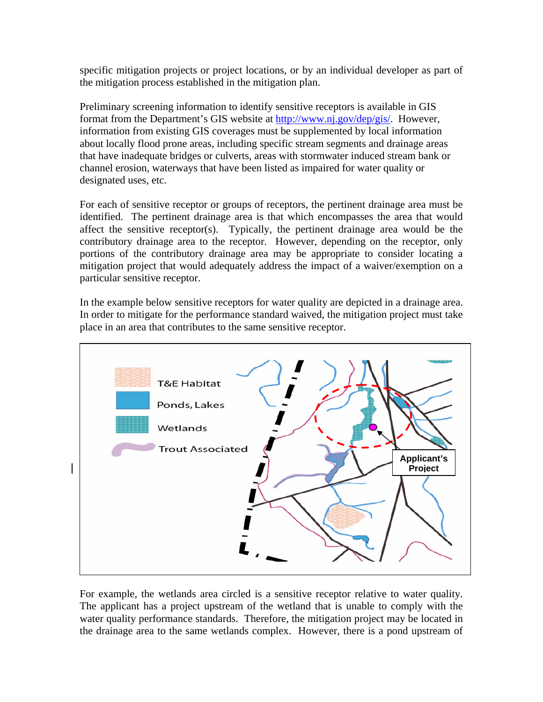specific mitigation projects or project locations, or by an individual developer as part of the mitigation process established in the mitigation plan.

Preliminary screening information to identify sensitive receptors is available in GIS format from the Department's GIS website at http://www.nj.gov/dep/gis/. However, information from existing GIS coverages must be supplemented by local information about locally flood prone areas, including specific stream segments and drainage areas that have inadequate bridges or culverts, areas with stormwater induced stream bank or channel erosion, waterways that have been listed as impaired for water quality or designated uses, etc.

For each of sensitive receptor or groups of receptors, the pertinent drainage area must be identified. The pertinent drainage area is that which encompasses the area that would affect the sensitive receptor(s). Typically, the pertinent drainage area would be the contributory drainage area to the receptor. However, depending on the receptor, only portions of the contributory drainage area may be appropriate to consider locating a mitigation project that would adequately address the impact of a waiver/exemption on a particular sensitive receptor.

In the example below sensitive receptors for water quality are depicted in a drainage area. In order to mitigate for the performance standard waived, the mitigation project must take place in an area that contributes to the same sensitive receptor.



For example, the wetlands area circled is a sensitive receptor relative to water quality. The applicant has a project upstream of the wetland that is unable to comply with the water quality performance standards. Therefore, the mitigation project may be located in the drainage area to the same wetlands complex. However, there is a pond upstream of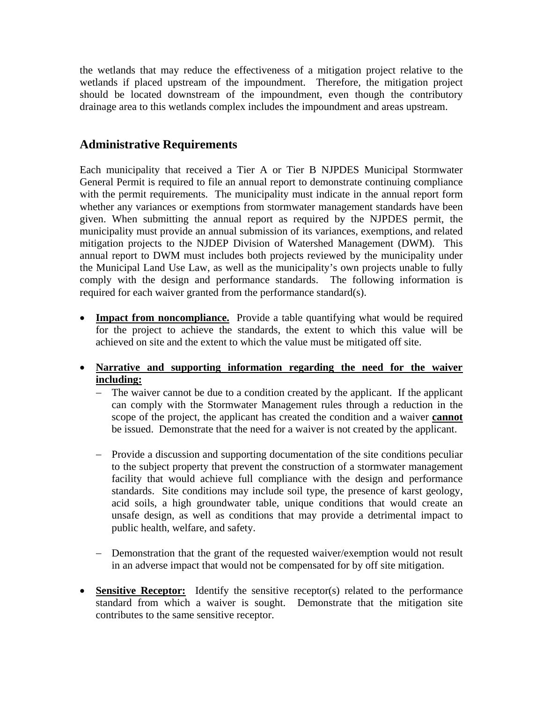the wetlands that may reduce the effectiveness of a mitigation project relative to the wetlands if placed upstream of the impoundment. Therefore, the mitigation project should be located downstream of the impoundment, even though the contributory drainage area to this wetlands complex includes the impoundment and areas upstream.

## **Administrative Requirements**

Each municipality that received a Tier A or Tier B NJPDES Municipal Stormwater General Permit is required to file an annual report to demonstrate continuing compliance with the permit requirements. The municipality must indicate in the annual report form whether any variances or exemptions from stormwater management standards have been given. When submitting the annual report as required by the NJPDES permit, the municipality must provide an annual submission of its variances, exemptions, and related mitigation projects to the NJDEP Division of Watershed Management (DWM). This annual report to DWM must includes both projects reviewed by the municipality under the Municipal Land Use Law, as well as the municipality's own projects unable to fully comply with the design and performance standards. The following information is required for each waiver granted from the performance standard(s).

- **Impact from noncompliance.** Provide a table quantifying what would be required for the project to achieve the standards, the extent to which this value will be achieved on site and the extent to which the value must be mitigated off site.
- **Narrative and supporting information regarding the need for the waiver including:**
	- − The waiver cannot be due to a condition created by the applicant. If the applicant can comply with the Stormwater Management rules through a reduction in the scope of the project, the applicant has created the condition and a waiver **cannot** be issued. Demonstrate that the need for a waiver is not created by the applicant.
	- − Provide a discussion and supporting documentation of the site conditions peculiar to the subject property that prevent the construction of a stormwater management facility that would achieve full compliance with the design and performance standards. Site conditions may include soil type, the presence of karst geology, acid soils, a high groundwater table, unique conditions that would create an unsafe design, as well as conditions that may provide a detrimental impact to public health, welfare, and safety.
	- − Demonstration that the grant of the requested waiver/exemption would not result in an adverse impact that would not be compensated for by off site mitigation.
- **Sensitive Receptor:** Identify the sensitive receptor(s) related to the performance standard from which a waiver is sought. Demonstrate that the mitigation site contributes to the same sensitive receptor.